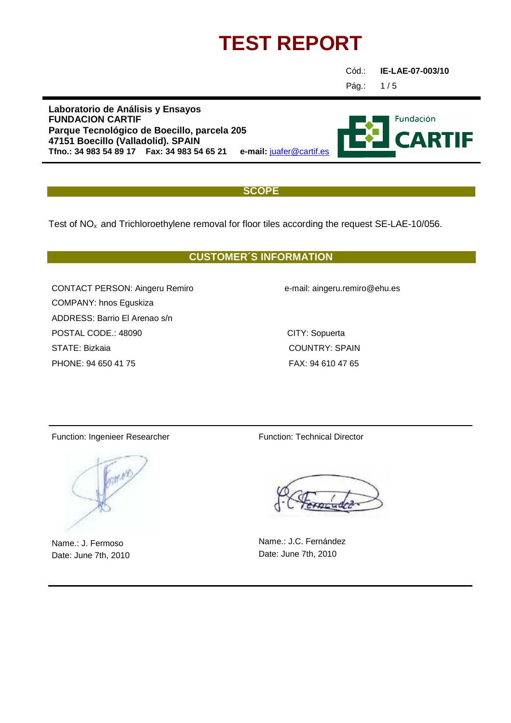Cód.: **IE-LAE-07-003/10**

Pág.:

 $1/5$ 

**Laboratorio de Análisis y Ensayos FUNDACION CARTIF Parque Tecnológico de Boecillo, parcela 205 47151 Boecillo (Valladolid). SPAIN Tfno.: 34 983 54 89 17 Fax: 34 983 54 65 21 e-mail:** juafer@cartif.es

#### **SCOPE**

Test of  $NO<sub>x</sub>$  and Trichloroethylene removal for floor tiles according the request SE-LAE-10/056.

### **CUSTOMER´S INFORMATION**

CONTACT PERSON: Aingeru Remiro e-mail: aingeru.remiro@ehu.es COMPANY: hnos Eguskiza ADDRESS: Barrio El Arenao s/n POSTAL CODE.: 48090 CITY: Sopuerta STATE: Bizkaia COUNTRY: SPAIN PHONE: 94 650 41 75 FAX: 94 610 47 65

Function: Ingenieer Researcher Function: Technical Director



Name.: J. Fermoso Date: June 7th, 2010

Name.: J.C. Fernández Date: June 7th, 2010

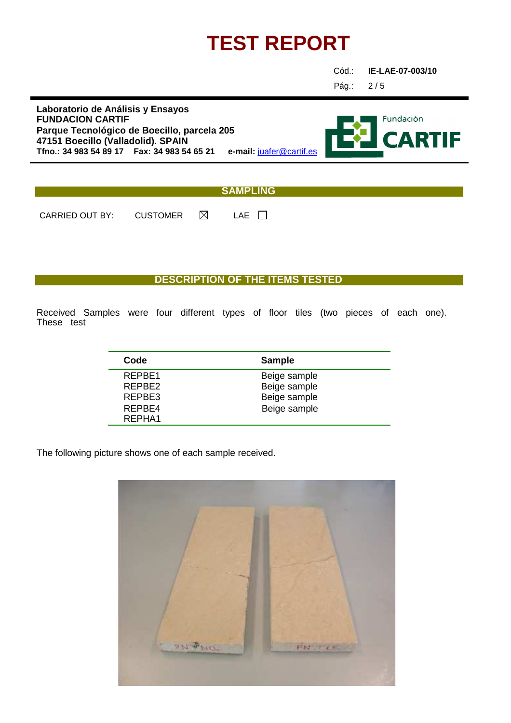Cód.: **IE-LAE-07-003/10**

Pág.: 2 / 5

**Laboratorio de Análisis y Ensayos FUNDACION CARTIF Parque Tecnológico de Boecillo, parcela 205 47151 Boecillo (Valladolid). SPAIN Tfno.: 34 983 54 89 17 Fax: 34 983 54 65 21 e-mail:** juafer@cartif.es



#### **SAMPLING**

CARRIED OUT BY: CUSTOMER  $\boxtimes$  LAE  $\Box$ 

### **DESCRIPTION OF THE ITEMS TESTED**

Received Samples were four different types of floor tiles (two pieces of each one). These test

| Code   | <b>Sample</b> |
|--------|---------------|
| RFPRF1 | Beige sample  |
| RFPBF2 | Beige sample  |
| REPBE3 | Beige sample  |
| REPBE4 | Beige sample  |
| RFPHA1 |               |

The following picture shows one of each sample received.

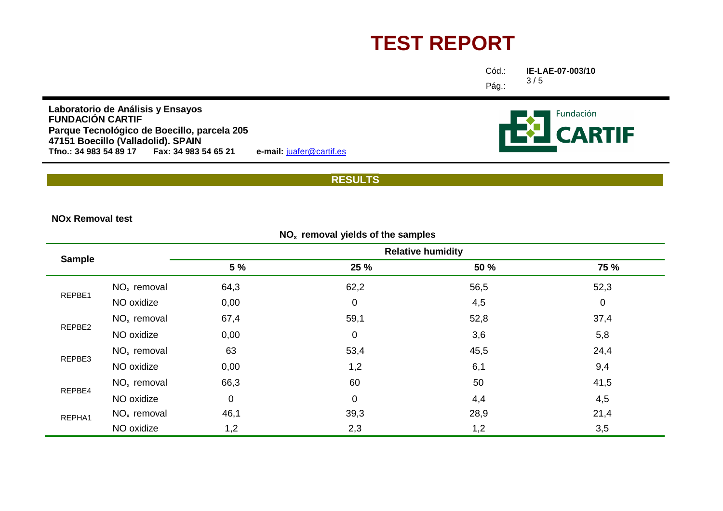| Cód.: | IE-I |
|-------|------|
| Pág.: | 3/3  |

**IE-LAE-07-003/10**/ <sup>5</sup>

**Fundación** 

**CARTIF** 

**Laboratorio de Análisis <sup>y</sup> Ensayos FUNDACIÓN CARTIF**Parque Tecnológico de Boecillo, parcela 205<br>47151 Boecillo (Valladolid). SPAIN<br>Tfno.: 34 983 54 89 17 Fax: 34 983 54 65 21 e-mail: <u>juafer@cartif.es</u>

#### **RESULTS**

**NOx Removal test**

| $NOx$ removal yields of the samples |               |                          |      |      |             |  |
|-------------------------------------|---------------|--------------------------|------|------|-------------|--|
|                                     |               | <b>Relative humidity</b> |      |      |             |  |
| <b>Sample</b>                       |               | 5 %                      | 25 % | 50 % | <b>75 %</b> |  |
|                                     | $NOx$ removal | 64,3                     | 62,2 | 56,5 | 52,3        |  |
| REPBE1                              | NO oxidize    | 0,00                     | 0    | 4,5  | $\mathbf 0$ |  |
|                                     | $NOx$ removal | 67,4                     | 59,1 | 52,8 | 37,4        |  |
| REPBE2                              | NO oxidize    | 0,00                     | 0    | 3,6  | 5,8         |  |
|                                     | $NOx$ removal | 63                       | 53,4 | 45,5 | 24,4        |  |
| REPBE3                              | NO oxidize    | 0,00                     | 1,2  | 6,1  | 9,4         |  |
| REPBE4                              | $NOx$ removal | 66,3                     | 60   | 50   | 41,5        |  |
|                                     | NO oxidize    | 0                        | 0    | 4,4  | 4,5         |  |
| REPHA1                              | $NOx$ removal | 46,1                     | 39,3 | 28,9 | 21,4        |  |
|                                     | NO oxidize    | 1,2                      | 2,3  | 1,2  | 3,5         |  |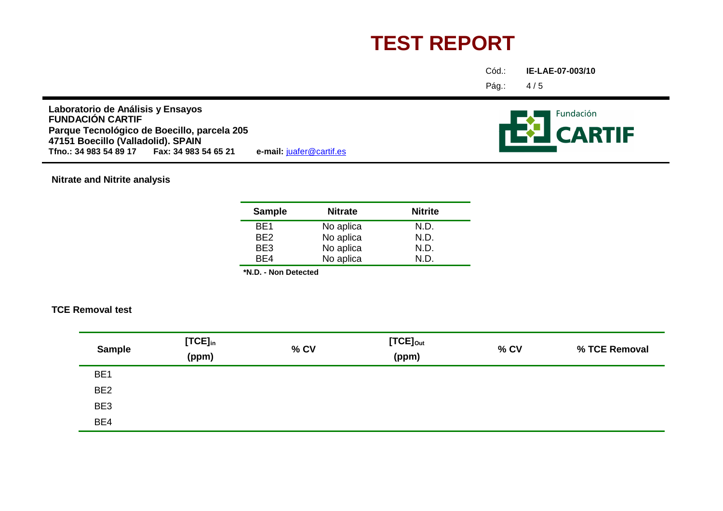Cód.:**IE-LAE-07-003/10**

Pág.:4 / <sup>5</sup>

**Laboratorio de Análisis <sup>y</sup> Ensayos FUNDACIÓN CARTIF**Parque Tecnológico de Boecillo, parcela 205<br>47151 Boecillo (Valladolid). SPAIN<br>Tfno.: 34 983 54 89 17 Fax: 34 983 54 65 21 e-mail: <u>juafer@cartif.es</u>

**Nitrate and Nitrite analysis**

| <b>Sample</b>   | <b>Nitrate</b> | <b>Nitrite</b> |
|-----------------|----------------|----------------|
| BE1             | No aplica      | N.D.           |
| BE <sub>2</sub> | No aplica      | N.D.           |
| BE3             | No aplica      | N.D.           |
| BF4             | No aplica      | N.D.           |

**\*N.D. - Non Detected**

#### **TCE Removal test**

| <b>Sample</b>   | $[TCE]_{in}$<br>(ppm) | % CV | $[TCE]_{Out}$<br>(ppm) | % CV | % TCE Removal |
|-----------------|-----------------------|------|------------------------|------|---------------|
| BE <sub>1</sub> |                       |      |                        |      |               |
| BE <sub>2</sub> |                       |      |                        |      |               |
| BE3             |                       |      |                        |      |               |
| BE4             |                       |      |                        |      |               |